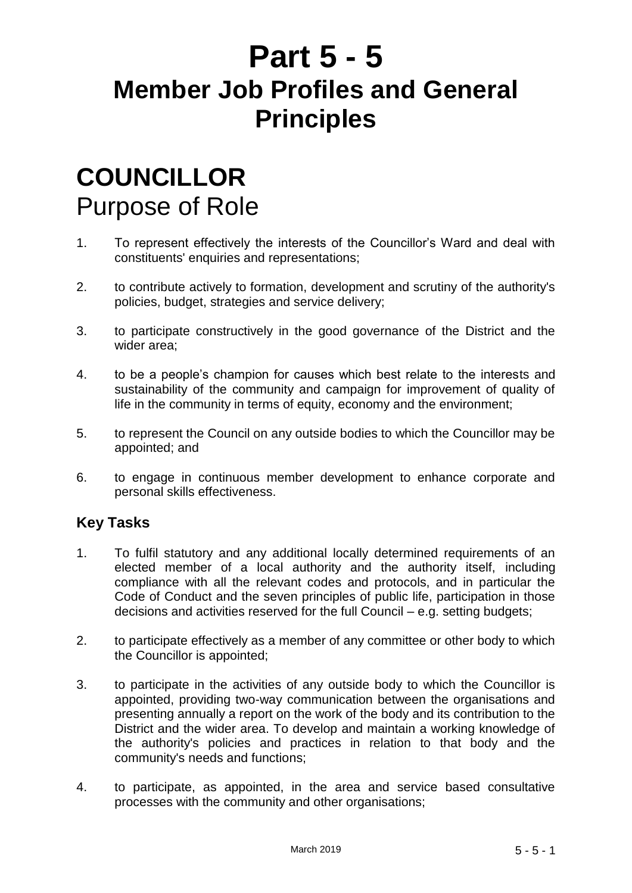# **Part 5 - 5 Member Job Profiles and General Principles**

# **COUNCILLOR** Purpose of Role

- 1. To represent effectively the interests of the Councillor's Ward and deal with constituents' enquiries and representations;
- 2. to contribute actively to formation, development and scrutiny of the authority's policies, budget, strategies and service delivery;
- 3. to participate constructively in the good governance of the District and the wider area;
- 4. to be a people's champion for causes which best relate to the interests and sustainability of the community and campaign for improvement of quality of life in the community in terms of equity, economy and the environment;
- 5. to represent the Council on any outside bodies to which the Councillor may be appointed; and
- 6. to engage in continuous member development to enhance corporate and personal skills effectiveness.

- 1. To fulfil statutory and any additional locally determined requirements of an elected member of a local authority and the authority itself, including compliance with all the relevant codes and protocols, and in particular the Code of Conduct and the seven principles of public life, participation in those decisions and activities reserved for the full Council – e.g. setting budgets;
- 2. to participate effectively as a member of any committee or other body to which the Councillor is appointed;
- 3. to participate in the activities of any outside body to which the Councillor is appointed, providing two-way communication between the organisations and presenting annually a report on the work of the body and its contribution to the District and the wider area. To develop and maintain a working knowledge of the authority's policies and practices in relation to that body and the community's needs and functions;
- 4. to participate, as appointed, in the area and service based consultative processes with the community and other organisations;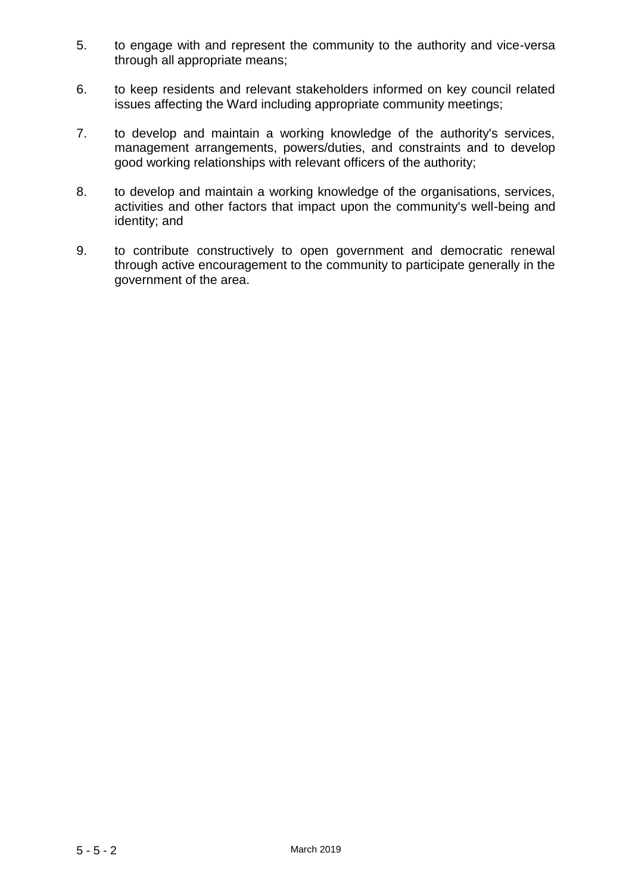- 5. to engage with and represent the community to the authority and vice-versa through all appropriate means;
- 6. to keep residents and relevant stakeholders informed on key council related issues affecting the Ward including appropriate community meetings;
- 7. to develop and maintain a working knowledge of the authority's services, management arrangements, powers/duties, and constraints and to develop good working relationships with relevant officers of the authority;
- 8. to develop and maintain a working knowledge of the organisations, services, activities and other factors that impact upon the community's well-being and identity; and
- 9. to contribute constructively to open government and democratic renewal through active encouragement to the community to participate generally in the government of the area.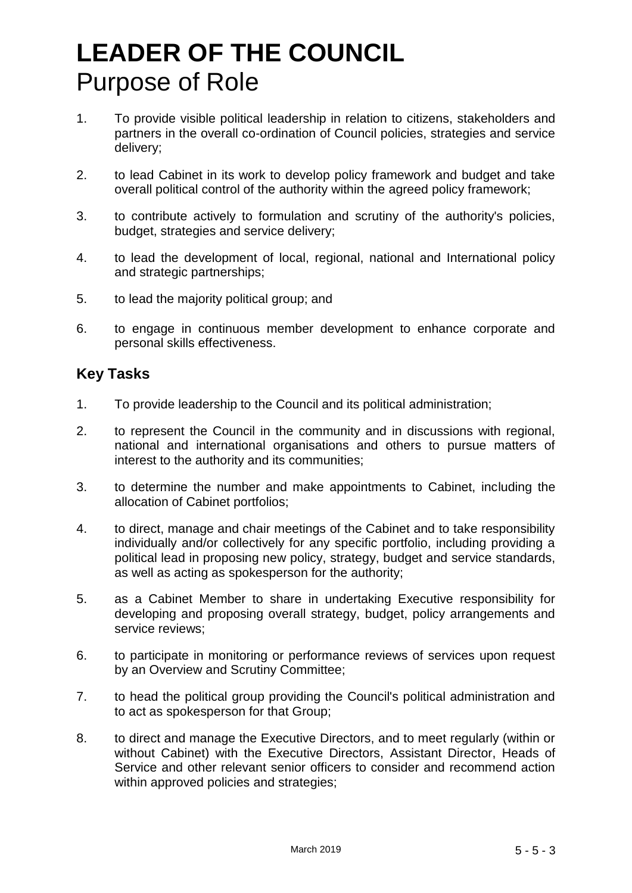# **LEADER OF THE COUNCIL** Purpose of Role

- 1. To provide visible political leadership in relation to citizens, stakeholders and partners in the overall co-ordination of Council policies, strategies and service delivery;
- 2. to lead Cabinet in its work to develop policy framework and budget and take overall political control of the authority within the agreed policy framework;
- 3. to contribute actively to formulation and scrutiny of the authority's policies, budget, strategies and service delivery;
- 4. to lead the development of local, regional, national and International policy and strategic partnerships;
- 5. to lead the majority political group; and
- 6. to engage in continuous member development to enhance corporate and personal skills effectiveness.

- 1. To provide leadership to the Council and its political administration;
- 2. to represent the Council in the community and in discussions with regional, national and international organisations and others to pursue matters of interest to the authority and its communities;
- 3. to determine the number and make appointments to Cabinet, including the allocation of Cabinet portfolios;
- 4. to direct, manage and chair meetings of the Cabinet and to take responsibility individually and/or collectively for any specific portfolio, including providing a political lead in proposing new policy, strategy, budget and service standards, as well as acting as spokesperson for the authority;
- 5. as a Cabinet Member to share in undertaking Executive responsibility for developing and proposing overall strategy, budget, policy arrangements and service reviews;
- 6. to participate in monitoring or performance reviews of services upon request by an Overview and Scrutiny Committee;
- 7. to head the political group providing the Council's political administration and to act as spokesperson for that Group;
- 8. to direct and manage the Executive Directors, and to meet regularly (within or without Cabinet) with the Executive Directors, Assistant Director, Heads of Service and other relevant senior officers to consider and recommend action within approved policies and strategies;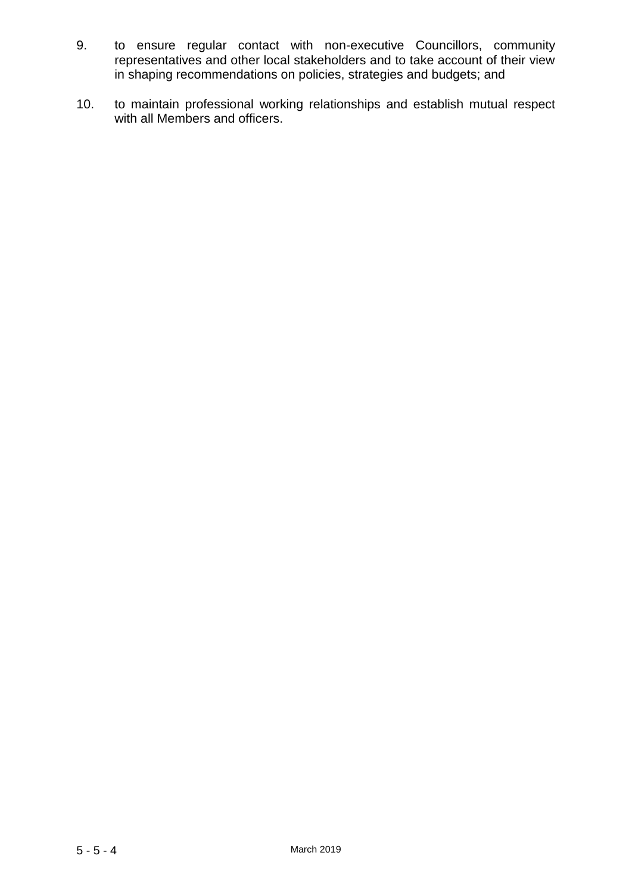- 9. to ensure regular contact with non-executive Councillors, community representatives and other local stakeholders and to take account of their view in shaping recommendations on policies, strategies and budgets; and
- 10. to maintain professional working relationships and establish mutual respect with all Members and officers.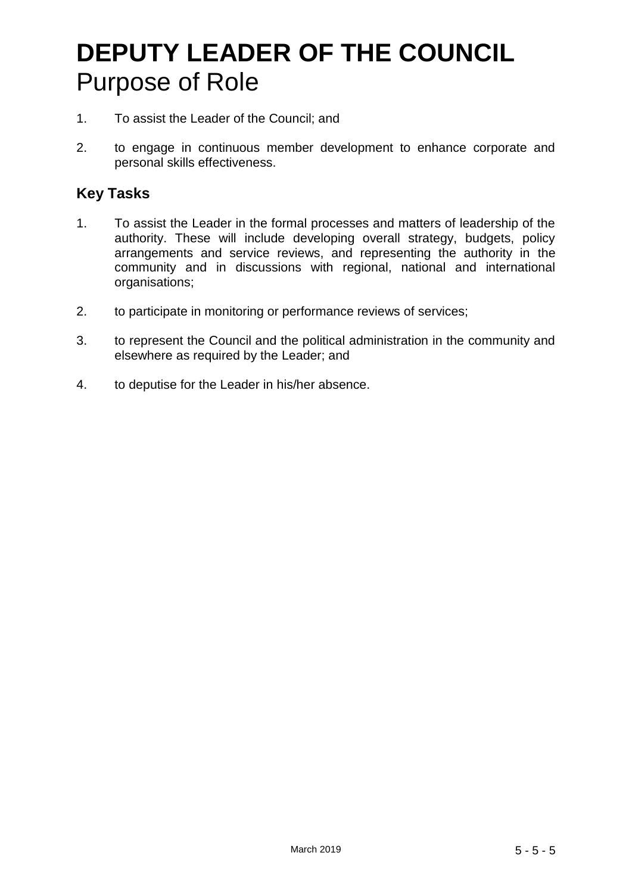# **DEPUTY LEADER OF THE COUNCIL** Purpose of Role

- 1. To assist the Leader of the Council; and
- 2. to engage in continuous member development to enhance corporate and personal skills effectiveness.

- 1. To assist the Leader in the formal processes and matters of leadership of the authority. These will include developing overall strategy, budgets, policy arrangements and service reviews, and representing the authority in the community and in discussions with regional, national and international organisations;
- 2. to participate in monitoring or performance reviews of services;
- 3. to represent the Council and the political administration in the community and elsewhere as required by the Leader; and
- 4. to deputise for the Leader in his/her absence.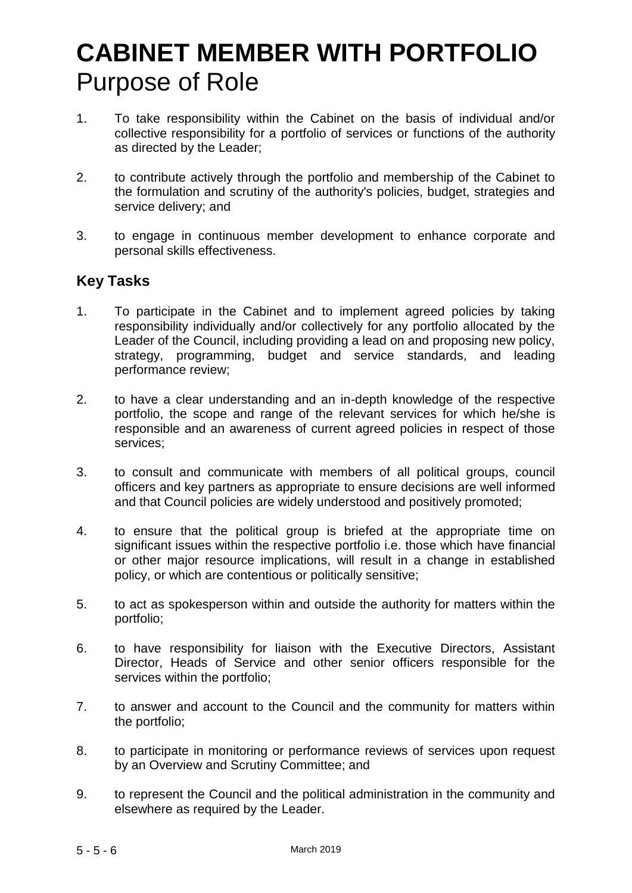# **CABINET MEMBER WITH PORTFOLIO** Purpose of Role

- 1. To take responsibility within the Cabinet on the basis of individual and/or collective responsibility for a portfolio of services or functions of the authority as directed by the Leader;
- 2. to contribute actively through the portfolio and membership of the Cabinet to the formulation and scrutiny of the authority's policies, budget, strategies and service delivery; and
- 3. to engage in continuous member development to enhance corporate and personal skills effectiveness.

- 1. To participate in the Cabinet and to implement agreed policies by taking responsibility individually and/or collectively for any portfolio allocated by the Leader of the Council, including providing a lead on and proposing new policy, strategy, programming, budget and service standards, and leading performance review;
- 2. to have a clear understanding and an in-depth knowledge of the respective portfolio, the scope and range of the relevant services for which he/she is responsible and an awareness of current agreed policies in respect of those services;
- 3. to consult and communicate with members of all political groups, council officers and key partners as appropriate to ensure decisions are well informed and that Council policies are widely understood and positively promoted;
- 4. to ensure that the political group is briefed at the appropriate time on significant issues within the respective portfolio i.e. those which have financial or other major resource implications, will result in a change in established policy, or which are contentious or politically sensitive;
- 5. to act as spokesperson within and outside the authority for matters within the portfolio;
- 6. to have responsibility for liaison with the Executive Directors, Assistant Director, Heads of Service and other senior officers responsible for the services within the portfolio;
- 7. to answer and account to the Council and the community for matters within the portfolio;
- 8. to participate in monitoring or performance reviews of services upon request by an Overview and Scrutiny Committee; and
- 9. to represent the Council and the political administration in the community and elsewhere as required by the Leader.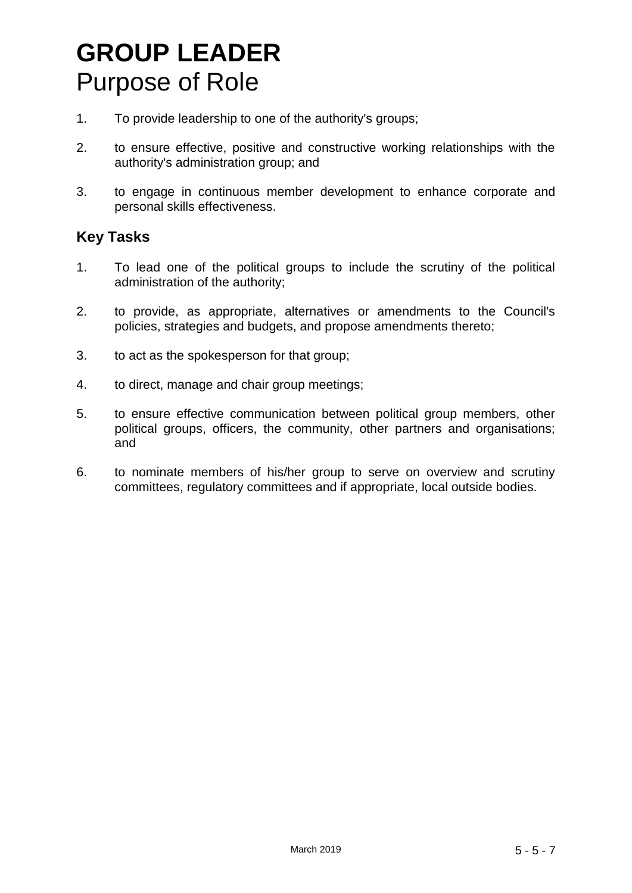# **GROUP LEADER**  Purpose of Role

- 1. To provide leadership to one of the authority's groups;
- 2. to ensure effective, positive and constructive working relationships with the authority's administration group; and
- 3. to engage in continuous member development to enhance corporate and personal skills effectiveness.

- 1. To lead one of the political groups to include the scrutiny of the political administration of the authority;
- 2. to provide, as appropriate, alternatives or amendments to the Council's policies, strategies and budgets, and propose amendments thereto;
- 3. to act as the spokesperson for that group;
- 4. to direct, manage and chair group meetings;
- 5. to ensure effective communication between political group members, other political groups, officers, the community, other partners and organisations; and
- 6. to nominate members of his/her group to serve on overview and scrutiny committees, regulatory committees and if appropriate, local outside bodies.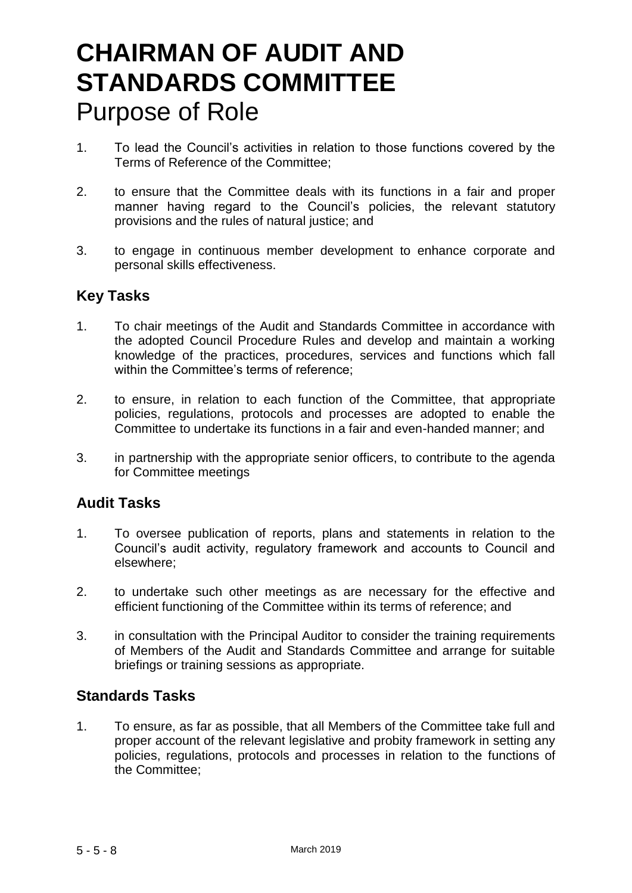# **CHAIRMAN OF AUDIT AND STANDARDS COMMITTEE**  Purpose of Role

- 1. To lead the Council's activities in relation to those functions covered by the Terms of Reference of the Committee;
- 2. to ensure that the Committee deals with its functions in a fair and proper manner having regard to the Council's policies, the relevant statutory provisions and the rules of natural justice; and
- 3. to engage in continuous member development to enhance corporate and personal skills effectiveness.

#### **Key Tasks**

- 1. To chair meetings of the Audit and Standards Committee in accordance with the adopted Council Procedure Rules and develop and maintain a working knowledge of the practices, procedures, services and functions which fall within the Committee's terms of reference;
- 2. to ensure, in relation to each function of the Committee, that appropriate policies, regulations, protocols and processes are adopted to enable the Committee to undertake its functions in a fair and even-handed manner; and
- 3. in partnership with the appropriate senior officers, to contribute to the agenda for Committee meetings

#### **Audit Tasks**

- 1. To oversee publication of reports, plans and statements in relation to the Council's audit activity, regulatory framework and accounts to Council and elsewhere;
- 2. to undertake such other meetings as are necessary for the effective and efficient functioning of the Committee within its terms of reference; and
- 3. in consultation with the Principal Auditor to consider the training requirements of Members of the Audit and Standards Committee and arrange for suitable briefings or training sessions as appropriate.

#### **Standards Tasks**

1. To ensure, as far as possible, that all Members of the Committee take full and proper account of the relevant legislative and probity framework in setting any policies, regulations, protocols and processes in relation to the functions of the Committee;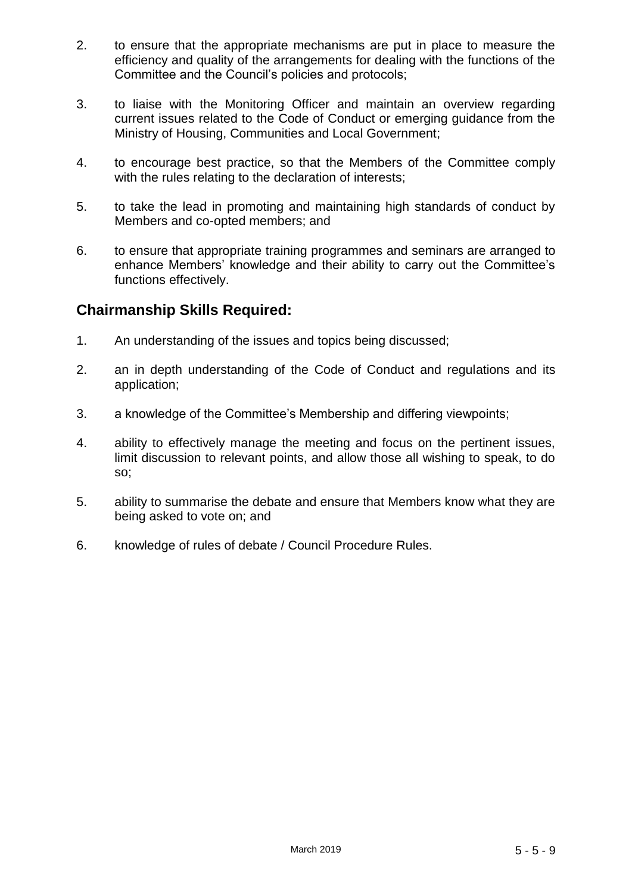- 2. to ensure that the appropriate mechanisms are put in place to measure the efficiency and quality of the arrangements for dealing with the functions of the Committee and the Council's policies and protocols;
- 3. to liaise with the Monitoring Officer and maintain an overview regarding current issues related to the Code of Conduct or emerging guidance from the Ministry of Housing, Communities and Local Government;
- 4. to encourage best practice, so that the Members of the Committee comply with the rules relating to the declaration of interests;
- 5. to take the lead in promoting and maintaining high standards of conduct by Members and co-opted members; and
- 6. to ensure that appropriate training programmes and seminars are arranged to enhance Members' knowledge and their ability to carry out the Committee's functions effectively.

### **Chairmanship Skills Required:**

- 1. An understanding of the issues and topics being discussed;
- 2. an in depth understanding of the Code of Conduct and regulations and its application;
- 3. a knowledge of the Committee's Membership and differing viewpoints;
- 4. ability to effectively manage the meeting and focus on the pertinent issues, limit discussion to relevant points, and allow those all wishing to speak, to do so;
- 5. ability to summarise the debate and ensure that Members know what they are being asked to vote on; and
- 6. knowledge of rules of debate / Council Procedure Rules.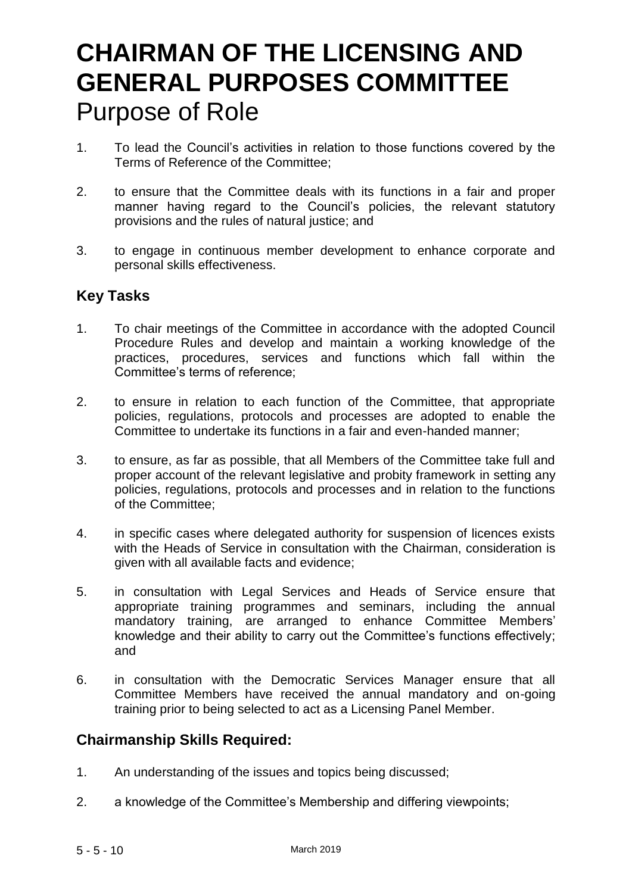# **CHAIRMAN OF THE LICENSING AND GENERAL PURPOSES COMMITTEE**  Purpose of Role

- 1. To lead the Council's activities in relation to those functions covered by the Terms of Reference of the Committee;
- 2. to ensure that the Committee deals with its functions in a fair and proper manner having regard to the Council's policies, the relevant statutory provisions and the rules of natural justice; and
- 3. to engage in continuous member development to enhance corporate and personal skills effectiveness.

### **Key Tasks**

- 1. To chair meetings of the Committee in accordance with the adopted Council Procedure Rules and develop and maintain a working knowledge of the practices, procedures, services and functions which fall within the Committee's terms of reference;
- 2. to ensure in relation to each function of the Committee, that appropriate policies, regulations, protocols and processes are adopted to enable the Committee to undertake its functions in a fair and even-handed manner;
- 3. to ensure, as far as possible, that all Members of the Committee take full and proper account of the relevant legislative and probity framework in setting any policies, regulations, protocols and processes and in relation to the functions of the Committee;
- 4. in specific cases where delegated authority for suspension of licences exists with the Heads of Service in consultation with the Chairman, consideration is given with all available facts and evidence;
- 5. in consultation with Legal Services and Heads of Service ensure that appropriate training programmes and seminars, including the annual mandatory training, are arranged to enhance Committee Members' knowledge and their ability to carry out the Committee's functions effectively; and
- 6. in consultation with the Democratic Services Manager ensure that all Committee Members have received the annual mandatory and on-going training prior to being selected to act as a Licensing Panel Member.

#### **Chairmanship Skills Required:**

- 1. An understanding of the issues and topics being discussed;
- 2. a knowledge of the Committee's Membership and differing viewpoints;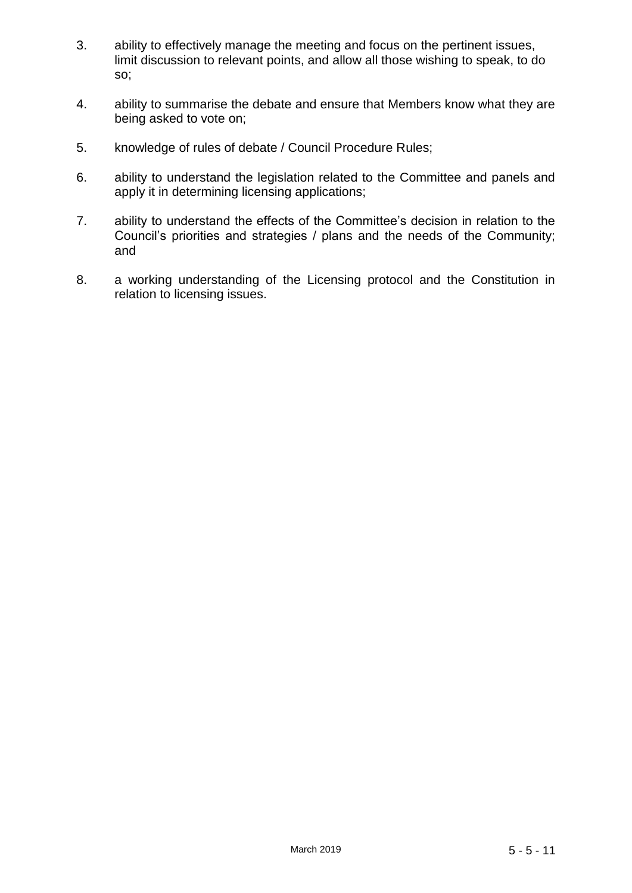- 3. ability to effectively manage the meeting and focus on the pertinent issues, limit discussion to relevant points, and allow all those wishing to speak, to do so;
- 4. ability to summarise the debate and ensure that Members know what they are being asked to vote on;
- 5. knowledge of rules of debate / Council Procedure Rules;
- 6. ability to understand the legislation related to the Committee and panels and apply it in determining licensing applications;
- 7. ability to understand the effects of the Committee's decision in relation to the Council's priorities and strategies / plans and the needs of the Community; and
- 8. a working understanding of the Licensing protocol and the Constitution in relation to licensing issues.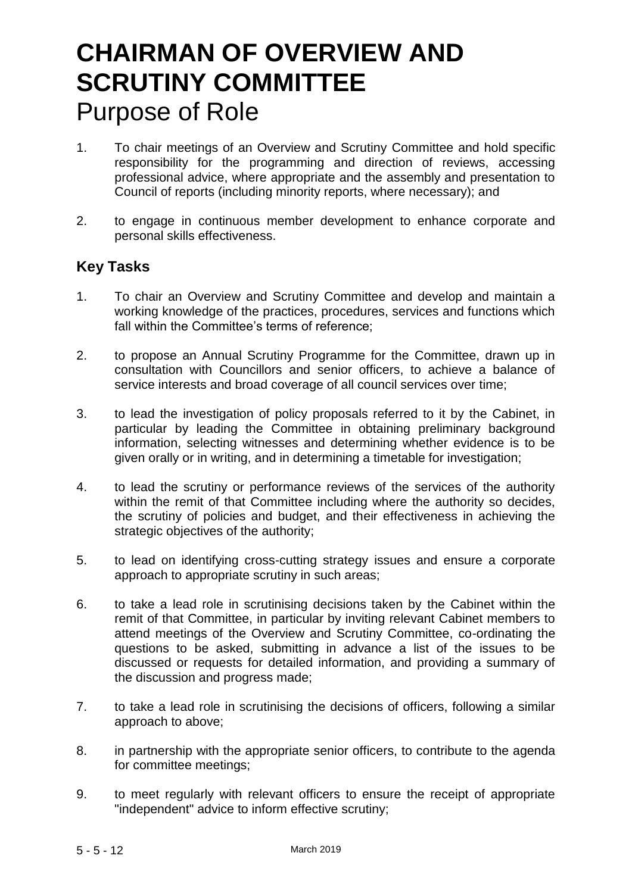# **CHAIRMAN OF OVERVIEW AND SCRUTINY COMMITTEE** Purpose of Role

- 1. To chair meetings of an Overview and Scrutiny Committee and hold specific responsibility for the programming and direction of reviews, accessing professional advice, where appropriate and the assembly and presentation to Council of reports (including minority reports, where necessary); and
- 2. to engage in continuous member development to enhance corporate and personal skills effectiveness.

- 1. To chair an Overview and Scrutiny Committee and develop and maintain a working knowledge of the practices, procedures, services and functions which fall within the Committee's terms of reference;
- 2. to propose an Annual Scrutiny Programme for the Committee, drawn up in consultation with Councillors and senior officers, to achieve a balance of service interests and broad coverage of all council services over time;
- 3. to lead the investigation of policy proposals referred to it by the Cabinet, in particular by leading the Committee in obtaining preliminary background information, selecting witnesses and determining whether evidence is to be given orally or in writing, and in determining a timetable for investigation;
- 4. to lead the scrutiny or performance reviews of the services of the authority within the remit of that Committee including where the authority so decides, the scrutiny of policies and budget, and their effectiveness in achieving the strategic objectives of the authority;
- 5. to lead on identifying cross-cutting strategy issues and ensure a corporate approach to appropriate scrutiny in such areas;
- 6. to take a lead role in scrutinising decisions taken by the Cabinet within the remit of that Committee, in particular by inviting relevant Cabinet members to attend meetings of the Overview and Scrutiny Committee, co-ordinating the questions to be asked, submitting in advance a list of the issues to be discussed or requests for detailed information, and providing a summary of the discussion and progress made;
- 7. to take a lead role in scrutinising the decisions of officers, following a similar approach to above;
- 8. in partnership with the appropriate senior officers, to contribute to the agenda for committee meetings;
- 9. to meet regularly with relevant officers to ensure the receipt of appropriate "independent" advice to inform effective scrutiny;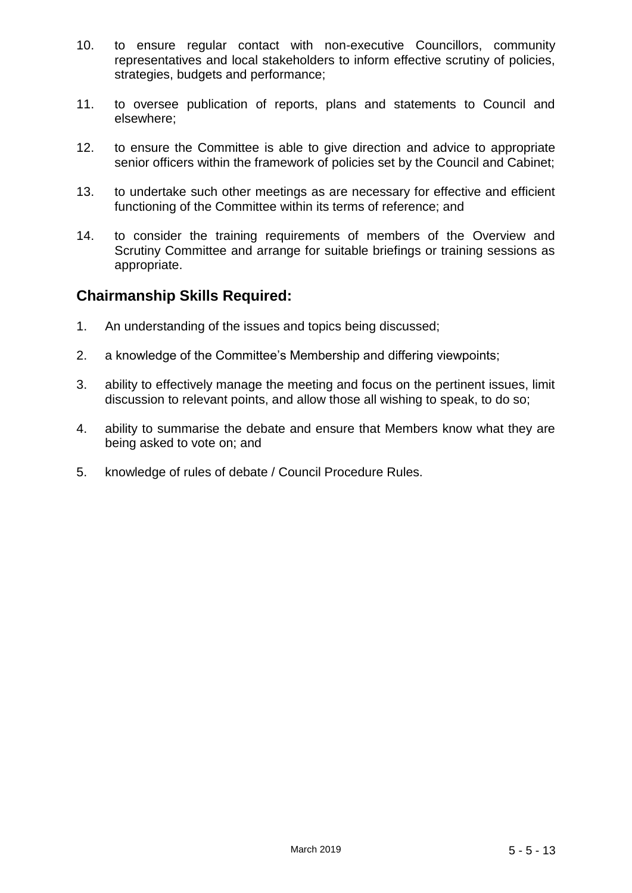- 10. to ensure regular contact with non-executive Councillors, community representatives and local stakeholders to inform effective scrutiny of policies, strategies, budgets and performance;
- 11. to oversee publication of reports, plans and statements to Council and elsewhere;
- 12. to ensure the Committee is able to give direction and advice to appropriate senior officers within the framework of policies set by the Council and Cabinet;
- 13. to undertake such other meetings as are necessary for effective and efficient functioning of the Committee within its terms of reference; and
- 14. to consider the training requirements of members of the Overview and Scrutiny Committee and arrange for suitable briefings or training sessions as appropriate.

#### **Chairmanship Skills Required:**

- 1. An understanding of the issues and topics being discussed;
- 2. a knowledge of the Committee's Membership and differing viewpoints;
- 3. ability to effectively manage the meeting and focus on the pertinent issues, limit discussion to relevant points, and allow those all wishing to speak, to do so;
- 4. ability to summarise the debate and ensure that Members know what they are being asked to vote on; and
- 5. knowledge of rules of debate / Council Procedure Rules.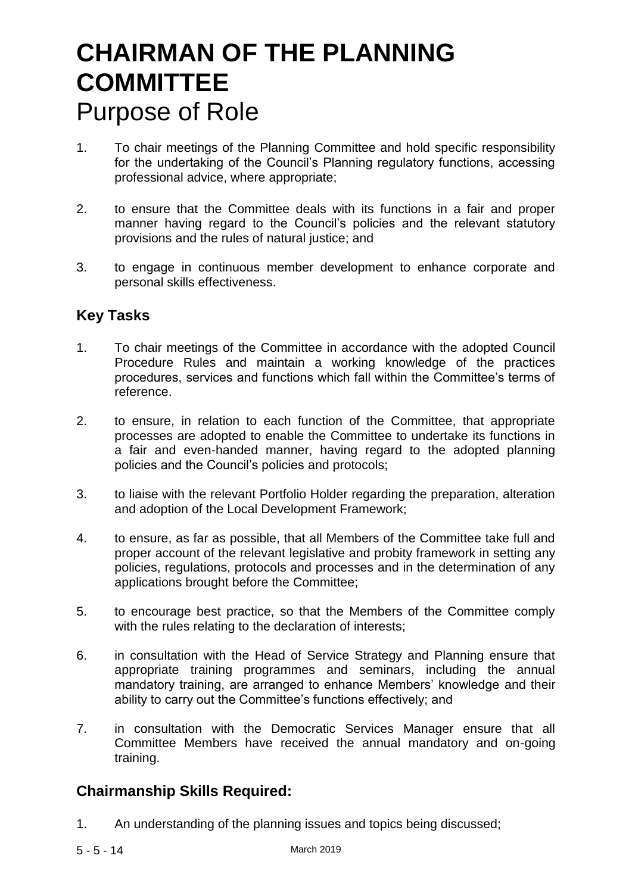# **CHAIRMAN OF THE PLANNING COMMITTEE** Purpose of Role

- 1. To chair meetings of the Planning Committee and hold specific responsibility for the undertaking of the Council's Planning regulatory functions, accessing professional advice, where appropriate;
- 2. to ensure that the Committee deals with its functions in a fair and proper manner having regard to the Council's policies and the relevant statutory provisions and the rules of natural justice; and
- 3. to engage in continuous member development to enhance corporate and personal skills effectiveness.

### **Key Tasks**

- 1. To chair meetings of the Committee in accordance with the adopted Council Procedure Rules and maintain a working knowledge of the practices procedures, services and functions which fall within the Committee's terms of reference.
- 2. to ensure, in relation to each function of the Committee, that appropriate processes are adopted to enable the Committee to undertake its functions in a fair and even-handed manner, having regard to the adopted planning policies and the Council's policies and protocols;
- 3. to liaise with the relevant Portfolio Holder regarding the preparation, alteration and adoption of the Local Development Framework;
- 4. to ensure, as far as possible, that all Members of the Committee take full and proper account of the relevant legislative and probity framework in setting any policies, regulations, protocols and processes and in the determination of any applications brought before the Committee;
- 5. to encourage best practice, so that the Members of the Committee comply with the rules relating to the declaration of interests;
- 6. in consultation with the Head of Service Strategy and Planning ensure that appropriate training programmes and seminars, including the annual mandatory training, are arranged to enhance Members' knowledge and their ability to carry out the Committee's functions effectively; and
- 7. in consultation with the Democratic Services Manager ensure that all Committee Members have received the annual mandatory and on-going training.

#### **Chairmanship Skills Required:**

1. An understanding of the planning issues and topics being discussed;